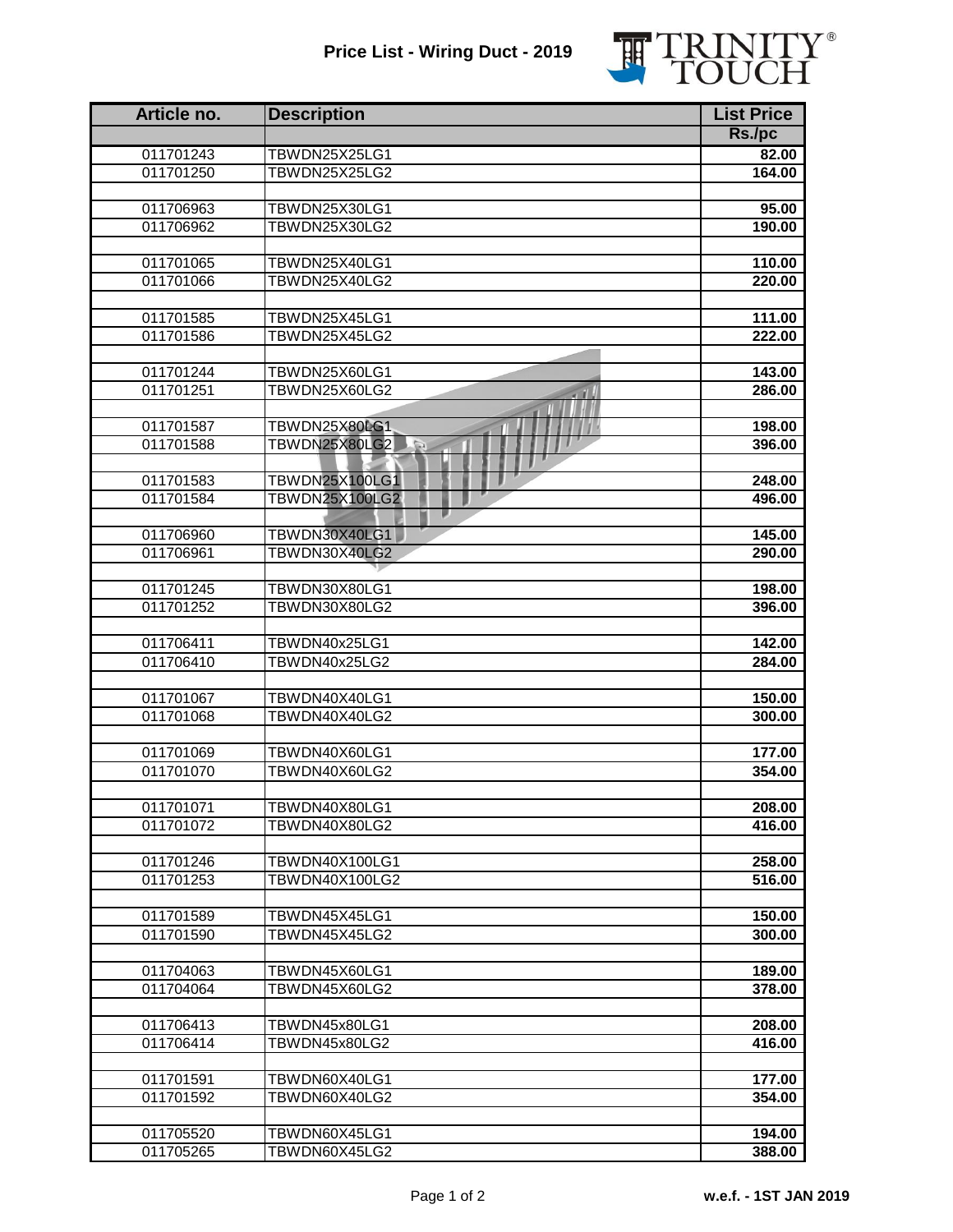## **Price List - Wiring Duct - 2019**



| Article no. | <b>Description</b>           | <b>List Price</b> |
|-------------|------------------------------|-------------------|
|             |                              | Rs./pc            |
| 011701243   | TBWDN25X25LG1                | 82.00             |
| 011701250   | TBWDN25X25LG2                | 164.00            |
|             |                              |                   |
| 011706963   | TBWDN25X30LG1                | 95.00             |
| 011706962   | TBWDN25X30LG2                | 190.00            |
|             |                              |                   |
| 011701065   | TBWDN25X40LG1                | 110.00            |
| 011701066   | TBWDN25X40LG2                | 220.00            |
| 011701585   | TBWDN25X45LG1                | 111.00            |
| 011701586   | TBWDN25X45LG2                | 222.00            |
|             |                              |                   |
| 011701244   | TBWDN25X60LG1                | 143.00            |
| 011701251   | TBWDN25X60LG2                | 286.00            |
|             |                              |                   |
| 011701587   | <b>TBWDN25X80LG1</b>         | 198.00            |
| 011701588   | <b>TBWDN25X80LG2</b><br>$-5$ | 396.00            |
|             |                              |                   |
| 011701583   | <b>TBWDN25X100LG1</b>        | 248.00            |
| 011701584   | <b>TBWDN25X100LG2</b>        | 496.00            |
| 011706960   | TBWDN30X40LG1                | 145.00            |
| 011706961   | TBWDN30X40LG2                | 290.00            |
|             |                              |                   |
| 011701245   | TBWDN30X80LG1                | 198.00            |
| 011701252   | TBWDN30X80LG2                | 396.00            |
|             |                              |                   |
| 011706411   | TBWDN40x25LG1                | 142.00            |
| 011706410   | TBWDN40x25LG2                | 284.00            |
|             |                              |                   |
| 011701067   | TBWDN40X40LG1                | 150.00            |
| 011701068   | TBWDN40X40LG2                | 300.00            |
| 011701069   | TBWDN40X60LG1                | 177.00            |
| 011701070   | TBWDN40X60LG2                | 354.00            |
|             |                              |                   |
| 011701071   | TBWDN40X80LG1                | 208.00            |
| 011701072   | TBWDN40X80LG2                | 416.00            |
|             |                              |                   |
| 011701246   | TBWDN40X100LG1               | 258.00            |
| 011701253   | TBWDN40X100LG2               | 516.00            |
|             |                              |                   |
| 011701589   | TBWDN45X45LG1                | 150.00            |
| 011701590   | TBWDN45X45LG2                | 300.00            |
| 011704063   | TBWDN45X60LG1                | 189.00            |
| 011704064   | TBWDN45X60LG2                | 378.00            |
|             |                              |                   |
| 011706413   | TBWDN45x80LG1                | 208.00            |
| 011706414   | TBWDN45x80LG2                | 416.00            |
|             |                              |                   |
| 011701591   | TBWDN60X40LG1                | 177.00            |
| 011701592   | TBWDN60X40LG2                | 354.00            |
|             |                              |                   |
| 011705520   | TBWDN60X45LG1                | 194.00            |
| 011705265   | TBWDN60X45LG2                | 388.00            |